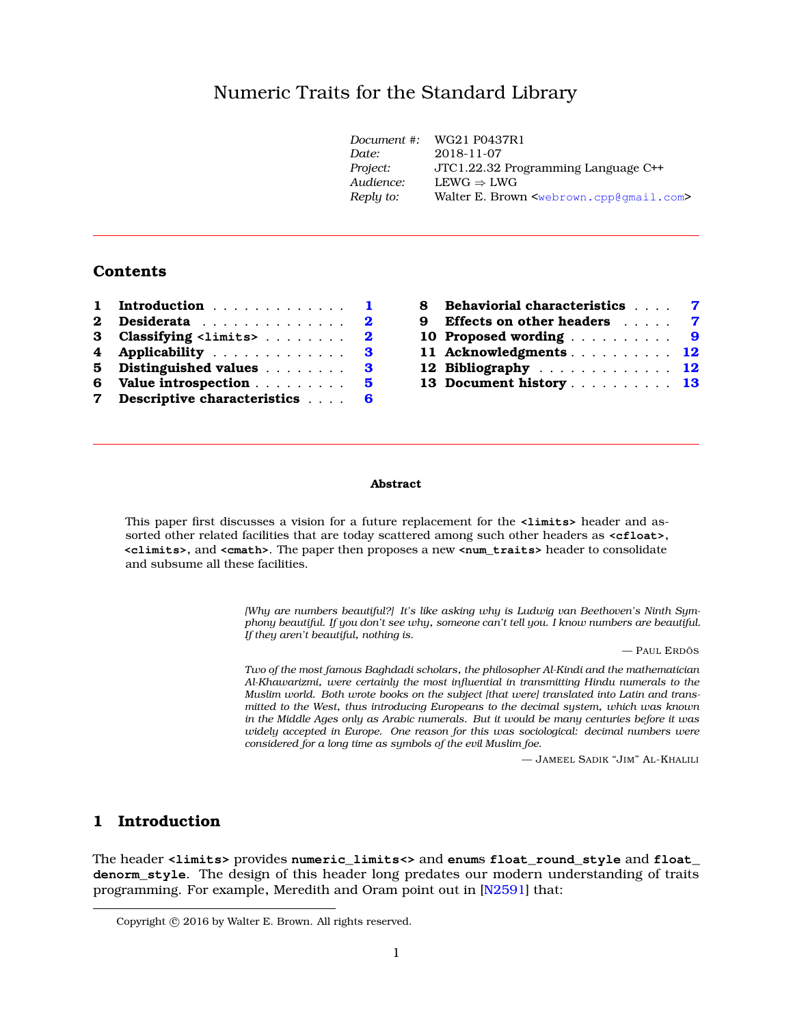# Numeric Traits for the Standard Librar[y](#page-0-0)

| Document #: | WG21 P0437R1                                                    |
|-------------|-----------------------------------------------------------------|
| Date:       | 2018-11-07                                                      |
| Project:    | JTC1.22.32 Programming Language C++                             |
| Audience:   | $LEWG \Rightarrow LWG$                                          |
| Reply to:   | Walter E. Brown <webrown.cpp@gmail.com></webrown.cpp@gmail.com> |
|             |                                                                 |

# **Contents**

|             | 1 Introduction                  | $\mathbf{1}$ |
|-------------|---------------------------------|--------------|
|             | 2 Desiderata                    | $\bf{2}$     |
|             | 3 Classifying <limits></limits> | $\bf{2}$     |
|             | 4 Applicability                 | 3            |
| 5           | Distinguished values            | 3            |
|             | 6 Value introspection           | 5.           |
| $7^{\circ}$ | Descriptive characteristics     | 6            |

| 8 Behaviorial characteristics 7 |  |  |  |
|---------------------------------|--|--|--|
| 9 Effects on other headers 7    |  |  |  |
| 10 Proposed wording 9           |  |  |  |
| 11 Acknowledgments 12           |  |  |  |
| 12 Bibliography 12              |  |  |  |
| 13 Document history 13          |  |  |  |
|                                 |  |  |  |

#### **Abstract**

This paper first discusses a vision for a future replacement for the **<limits>** header and assorted other related facilities that are today scattered among such other headers as **<cfloat>**, **<climits>**, and **<cmath>**. The paper then proposes a new **<num\_traits>** header to consolidate and subsume all these facilities.

> *[Why are numbers beautiful?] It's like asking why is Ludwig van Beethoven's Ninth Symphony beautiful. If you don't see why, someone can't tell you. I know numbers are beautiful. If they aren't beautiful, nothing is.*

> > — PAUL ERDÖS

*Two of the most famous Baghdadi scholars, the philosopher Al-Kindi and the mathematician Al-Khawarizmi, were certainly the most influential in transmitting Hindu numerals to the Muslim world. Both wrote books on the subject [that were] translated into Latin and transmitted to the West, thus introducing Europeans to the decimal system, which was known in the Middle Ages only as Arabic numerals. But it would be many centuries before it was widely accepted in Europe. One reason for this was sociological: decimal numbers were considered for a long time as symbols of the evil Muslim foe.*

— JAMEEL SADIK "JIM" AL-KHALILI

# <span id="page-0-1"></span>**1 Introduction**

The header **<limits>** provides **numeric\_limits<>** and **enum**s **float\_round\_style** and **float\_ denorm\_style**. The design of this header long predates our modern understanding of traits programming. For example, Meredith and Oram point out in [\[N2591\]](#page-11-2) that:

<span id="page-0-0"></span>Copyright © 2016 by Walter E. Brown. All rights reserved.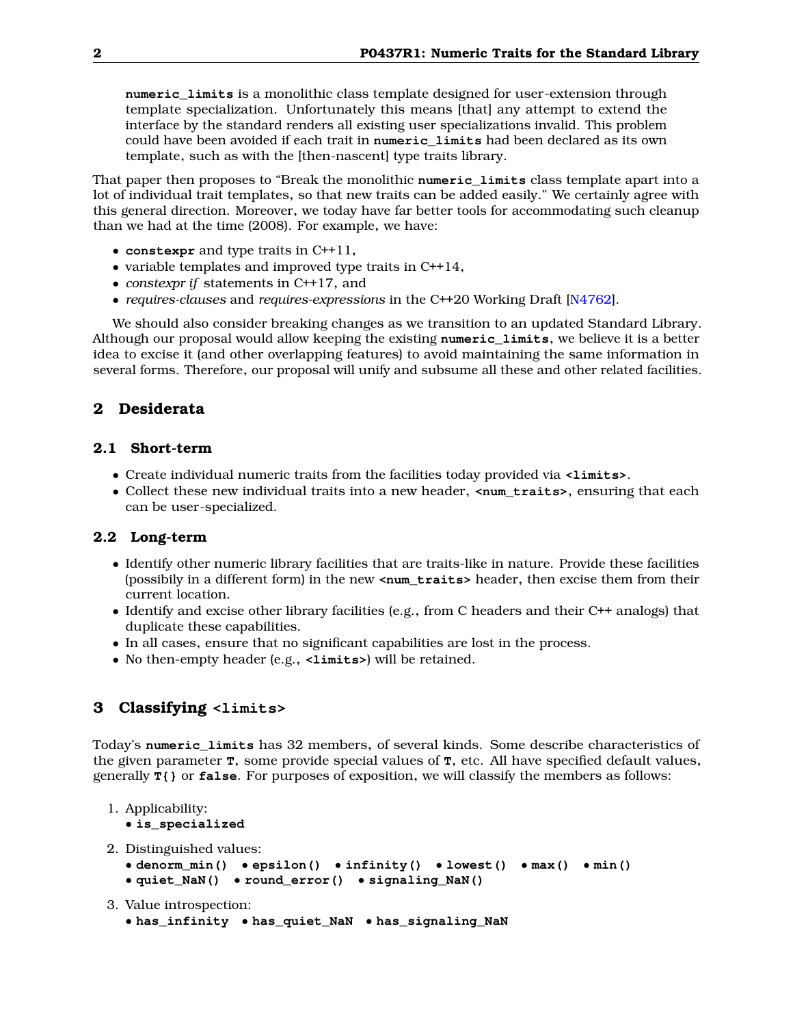**numeric\_limits** is a monolithic class template designed for user-extension through template specialization. Unfortunately this means [that] any attempt to extend the interface by the standard renders all existing user specializations invalid. This problem could have been avoided if each trait in **numeric\_limits** had been declared as its own template, such as with the [then-nascent] type traits library.

That paper then proposes to "Break the monolithic **numeric\_limits** class template apart into a lot of individual trait templates, so that new traits can be added easily." We certainly agree with this general direction. Moreover, we today have far better tools for accommodating such cleanup than we had at the time (2008). For example, we have:

- **constexpr** and type traits in C++11,
- variable templates and improved type traits in C++14,
- *constexpr if* statements in C++17, and
- *requires-clauses* and *requires-expressions* in the C++20 Working Draft [\[N4762\]](#page-11-3).

We should also consider breaking changes as we transition to an updated Standard Library. Although our proposal would allow keeping the existing **numeric\_limits**, we believe it is a better idea to excise it (and other overlapping features) to avoid maintaining the same information in several forms. Therefore, our proposal will unify and subsume all these and other related facilities.

# <span id="page-1-0"></span>**2 Desiderata**

## **2.1 Short-term**

- Create individual numeric traits from the facilities today provided via **<limits>**.
- Collect these new individual traits into a new header, **<num\_traits>**, ensuring that each can be user-specialized.

# **2.2 Long-term**

- Identify other numeric library facilities that are traits-like in nature. Provide these facilities (possibily in a different form) in the new **<num\_traits>** header, then excise them from their current location.
- Identify and excise other library facilities (e.g., from C headers and their C++ analogs) that duplicate these capabilities.
- In all cases, ensure that no significant capabilities are lost in the process.
- No then-empty header (e.g., **<limits>**) will be retained.

# <span id="page-1-1"></span>**3 Classifying <limits>**

Today's **numeric\_limits** has 32 members, of several kinds. Some describe characteristics of the given parameter **T**, some provide special values of **T**, etc. All have specified default values, generally **T{}** or **false**. For purposes of exposition, we will classify the members as follows:

1. Applicability:

• **is\_specialized**

2. Distinguished values:

```
• denorm_min() • epsilon() • infinity() • lowest() • max() • min()
```

```
• quiet_NaN() • round_error() • signaling_NaN()
```
3. Value introspection:

```
• has_infinity • has_quiet_NaN • has_signaling_NaN
```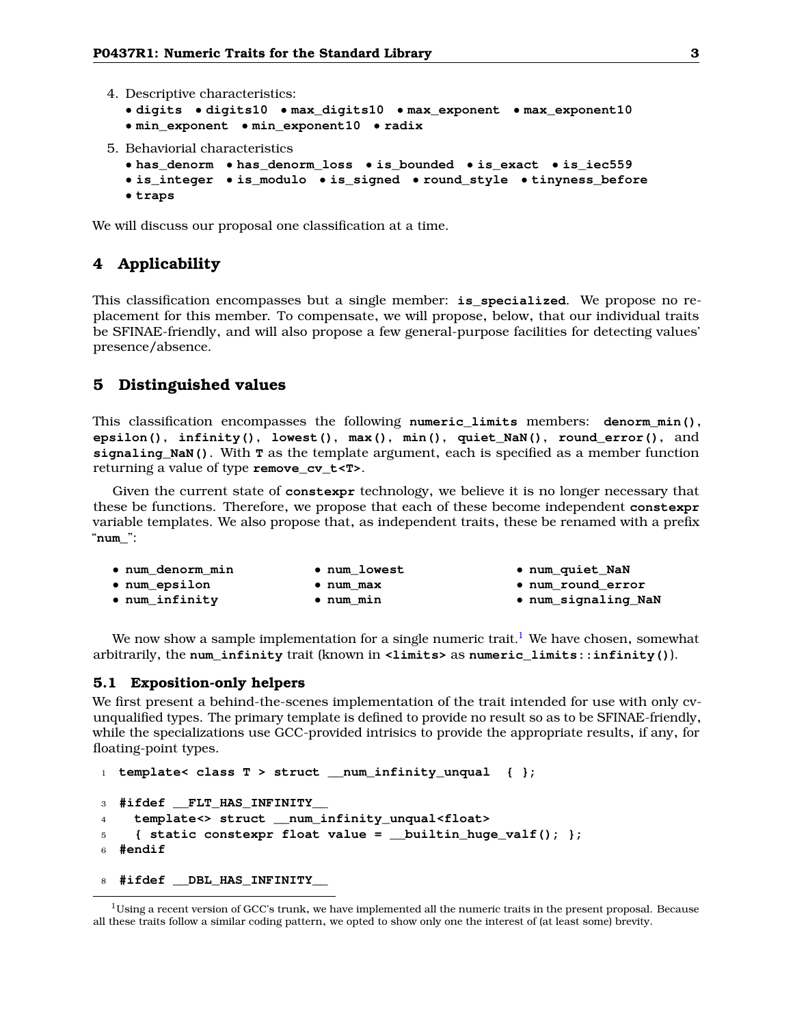```
4. Descriptive characteristics:
```

```
• digits • digits10 • max_digits10 • max_exponent • max_exponent10
• min_exponent • min_exponent10 • radix
```
5. Behaviorial characteristics

```
• has_denorm • has_denorm_loss • is_bounded • is_exact • is_iec559
```

```
• is_integer • is_modulo • is_signed • round_style • tinyness_before
```
• **traps**

<span id="page-2-0"></span>We will discuss our proposal one classification at a time.

# **4 Applicability**

This classification encompasses but a single member: **is\_specialized**. We propose no replacement for this member. To compensate, we will propose, below, that our individual traits be SFINAE-friendly, and will also propose a few general-purpose facilities for detecting values' presence/absence.

# <span id="page-2-1"></span>**5 Distinguished values**

This classification encompasses the following **numeric\_limits** members: **denorm\_min()**, **epsilon()**, **infinity()**, **lowest()**, **max()**, **min()**, **quiet\_NaN()**, **round\_error()**, and **signaling\_NaN()**. With **T** as the template argument, each is specified as a member function returning a value of type **remove\_cv\_t<T>**.

Given the current state of **constexpr** technology, we believe it is no longer necessary that these be functions. Therefore, we propose that each of these become independent **constexpr** variable templates. We also propose that, as independent traits, these be renamed with a prefix "**num\_**":

| • num denorm min      | • num lowest      | . num_quiet_NaN     |
|-----------------------|-------------------|---------------------|
| $\bullet$ num epsilon | $\bullet$ num max | • num round error   |
| • num infinity        | $\bullet$ num min | . num_signaling_NaN |

We now show a sample implementation for a single numeric trait.<sup>[1](#page-2-2)</sup> We have chosen, somewhat arbitrarily, the **num\_infinity** trait (known in **<limits>** as **numeric\_limits::infinity()**).

### **5.1 Exposition-only helpers**

We first present a behind-the-scenes implementation of the trait intended for use with only cvunqualified types. The primary template is defined to provide no result so as to be SFINAE-friendly, while the specializations use GCC-provided intrisics to provide the appropriate results, if any, for floating-point types.

```
1 template< class T > struct __num_infinity_unqual { };
3 #ifdef __FLT_HAS_INFINITY__
4 template<> struct __num_infinity_unqual<float>
5 { static constexpr float value = __builtin_huge_valf(); };
6 #endif
```
<sup>8</sup> **#ifdef \_\_DBL\_HAS\_INFINITY\_\_**

<span id="page-2-2"></span> $1$ Using a recent version of GCC's trunk, we have implemented all the numeric traits in the present proposal. Because all these traits follow a similar coding pattern, we opted to show only one the interest of (at least some) brevity.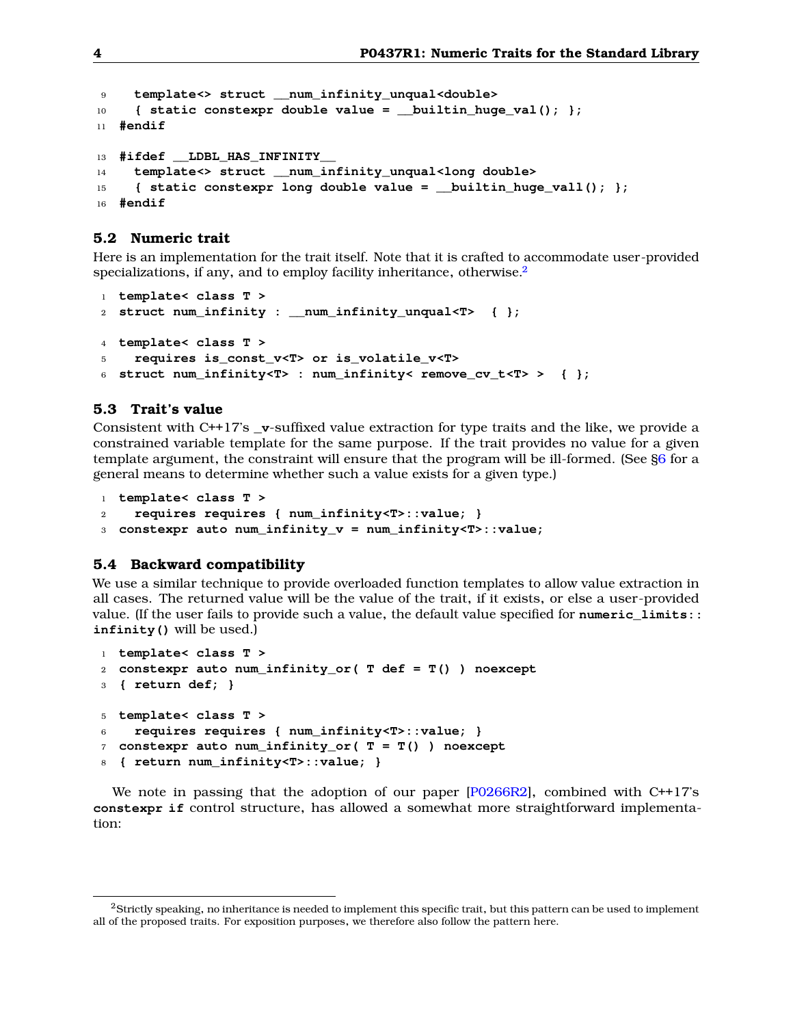```
9 template<> struct __num_infinity_unqual<double>
10 { static constexpr double value = __builtin_huge_val(); };
11 #endif
13 #ifdef __LDBL_HAS_INFINITY__
14 template<> struct __num_infinity_unqual<long double>
15 { static constexpr long double value = __builtin_huge_vall(); };
16 #endif
```
# **5.2 Numeric trait**

Here is an implementation for the trait itself. Note that it is crafted to accommodate user-provided specializations, if any, and to employ facility inheritance, otherwise. $2^2$  $2^2$ 

```
1 template< class T >
2 struct num_infinity : __num_infinity_unqual<T> { };
4 template< class T >
    5 requires is_const_v<T> or is_volatile_v<T>
6 struct num_infinity<T> : num_infinity< remove_cv_t<T> > { };
```
### **5.3 Trait's value**

Consistent with C++17's **\_v**-suffixed value extraction for type traits and the like, we provide a constrained variable template for the same purpose. If the trait provides no value for a given template argument, the constraint will ensure that the program will be ill-formed. (See [§6](#page-4-0) for a general means to determine whether such a value exists for a given type.)

```
1 template< class T >
```
- <sup>2</sup> **requires requires { num\_infinity<T>::value; }**
- <sup>3</sup> **constexpr auto num\_infinity\_v = num\_infinity<T>::value;**

## **5.4 Backward compatibility**

We use a similar technique to provide overloaded function templates to allow value extraction in all cases. The returned value will be the value of the trait, if it exists, or else a user-provided value. (If the user fails to provide such a value, the default value specified for **numeric\_limits:: infinity()** will be used.)

```
1 template< class T >
2 constexpr auto num_infinity_or( T def = T() ) noexcept
3 { return def; }
5 template< class T >
6 requires requires { num_infinity<T>::value; }
7 constexpr auto num_infinity_or( T = T() ) noexcept
8 { return num_infinity<T>::value; }
```
We note in passing that the adoption of our paper  $[P0266R2]$ , combined with C++17's **constexpr if** control structure, has allowed a somewhat more straightforward implementation:

<span id="page-3-0"></span><sup>&</sup>lt;sup>2</sup>Strictly speaking, no inheritance is needed to implement this specific trait, but this pattern can be used to implement all of the proposed traits. For exposition purposes, we therefore also follow the pattern here.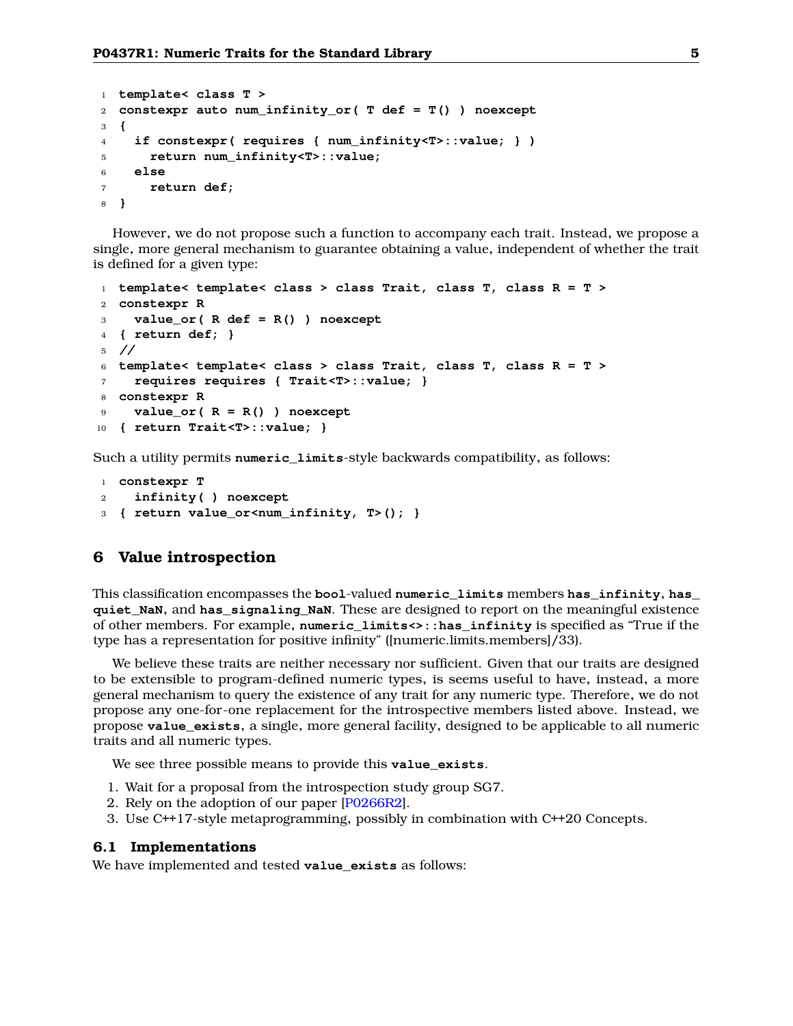```
1 template< class T >
2 constexpr auto num_infinity_or( T def = T() ) noexcept
3 {
4 if constexpr( requires { num_infinity<T>::value; } )
5 return num_infinity<T>::value;
6 else
7 return def;
8 }
```
However, we do not propose such a function to accompany each trait. Instead, we propose a single, more general mechanism to guarantee obtaining a value, independent of whether the trait is defined for a given type:

```
1 template< template< class > class Trait, class T, class R = T >
2 constexpr R
3 value_or( R def = R() ) noexcept
4 { return def; }
5 //
6 template< template< class > class Trait, class T, class R = T >
7 requires requires { Trait<T>::value; }
8 constexpr R
9 value_or( R = R() ) noexcept
10 { return Trait<T>::value; }
```
Such a utility permits **numeric\_limits**-style backwards compatibility, as follows:

```
1 constexpr T
2 infinity( ) noexcept
3 { return value_or<num_infinity, T>(); }
```
### <span id="page-4-0"></span>**6 Value introspection**

This classification encompasses the **bool**-valued **numeric\_limits** members **has\_infinity**, **has\_ quiet\_NaN**, and **has\_signaling\_NaN**. These are designed to report on the meaningful existence of other members. For example, **numeric\_limits<>::has\_infinity** is specified as "True if the type has a representation for positive infinity" ([numeric.limits.members]/33).

We believe these traits are neither necessary nor sufficient. Given that our traits are designed to be extensible to program-defined numeric types, is seems useful to have, instead, a more general mechanism to query the existence of any trait for any numeric type. Therefore, we do not propose any one-for-one replacement for the introspective members listed above. Instead, we propose **value\_exists**, a single, more general facility, designed to be applicable to all numeric traits and all numeric types.

We see three possible means to provide this **value** exists.

- 1. Wait for a proposal from the introspection study group SG7.
- 2. Rely on the adoption of our paper [\[P0266R2\]](#page-12-1).
- 3. Use C++17-style metaprogramming, possibly in combination with C++20 Concepts.

#### **6.1 Implementations**

We have implemented and tested **value** exists as follows: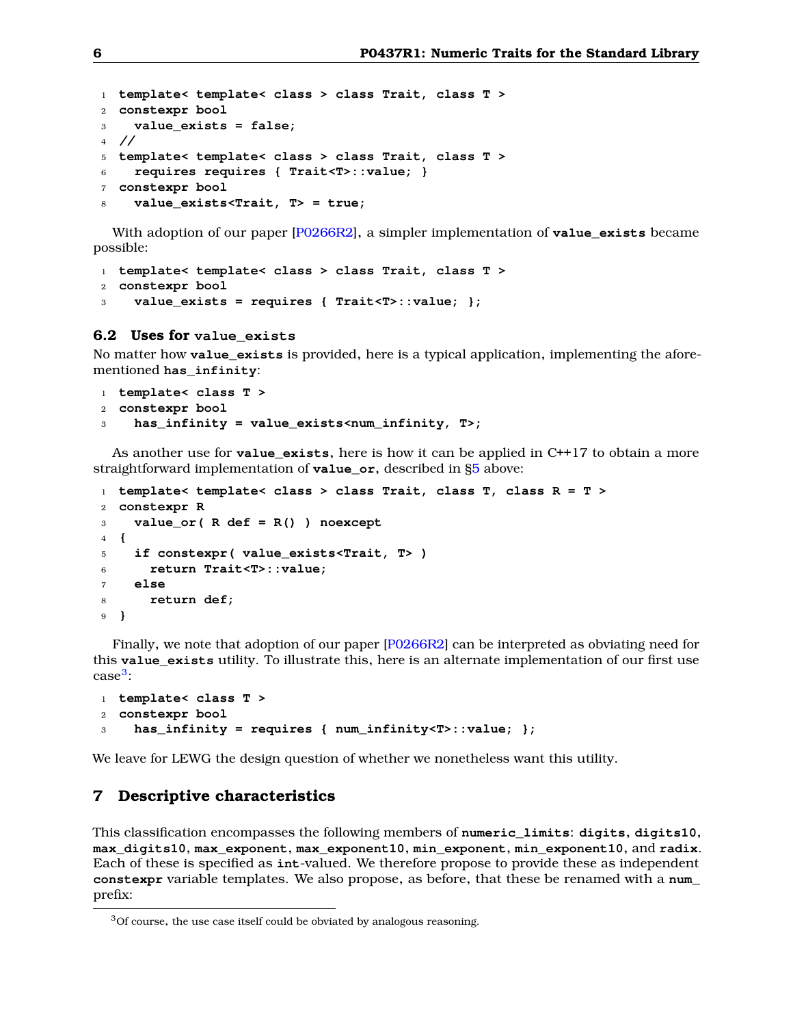```
1 template< template< class > class Trait, class T >
2 constexpr bool
3 value_exists = false;
4 //
5 template< template< class > class Trait, class T >
6 requires requires { Trait<T>::value; }
7 constexpr bool
    8 value_exists<Trait, T> = true;
```
With adoption of our paper [\[P0266R2\]](#page-12-1), a simpler implementation of **value\_exists** became possible:

```
1 template< template< class > class Trait, class T >
2 constexpr bool
3 value_exists = requires { Trait<T>::value; };
```
### **6.2 Uses for value\_exists**

No matter how **value\_exists** is provided, here is a typical application, implementing the aforementioned **has\_infinity**:

```
1 template< class T >
2 constexpr bool
3 has_infinity = value_exists<num_infinity, T>;
```
As another use for **value\_exists**, here is how it can be applied in C++17 to obtain a more straightforward implementation of **value\_or**, described in [§5](#page-2-1) above:

```
1 template< template< class > class Trait, class T, class R = T >
2 constexpr R
3 value_or( R def = R() ) noexcept
4 {
5 if constexpr( value_exists<Trait, T> )
6 return Trait<T>::value;
7 else
8 return def;
9 }
```
Finally, we note that adoption of our paper [\[P0266R2\]](#page-12-1) can be interpreted as obviating need for this **value\_exists** utility. To illustrate this, here is an alternate implementation of our first use case<sup>[3](#page-5-1)</sup>:

```
1 template< class T >
2 constexpr bool
    3 has_infinity = requires { num_infinity<T>::value; };
```
<span id="page-5-0"></span>We leave for LEWG the design question of whether we nonetheless want this utility.

## **7 Descriptive characteristics**

This classification encompasses the following members of **numeric\_limits**: **digits**, **digits10**, **max\_digits10**, **max\_exponent**, **max\_exponent10**, **min\_exponent**, **min\_exponent10**, and **radix**. Each of these is specified as **int**-valued. We therefore propose to provide these as independent **constexpr** variable templates. We also propose, as before, that these be renamed with a **num\_** prefix:

<span id="page-5-1"></span><sup>3</sup>Of course, the use case itself could be obviated by analogous reasoning.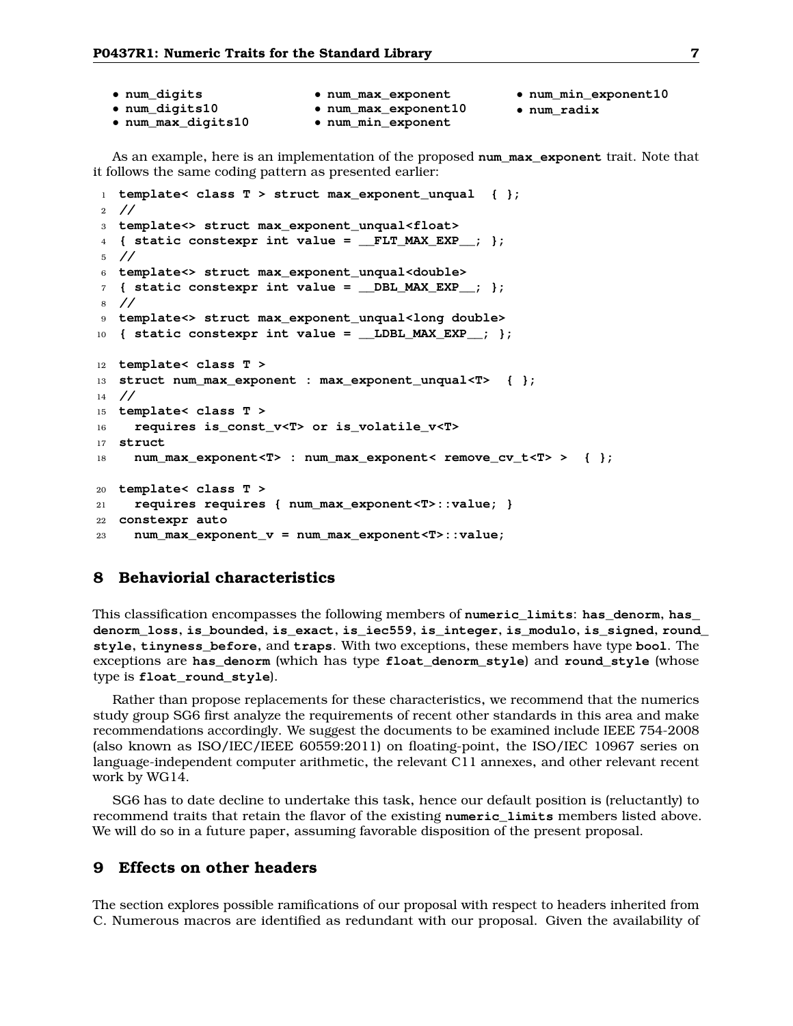| • num_digits       | • num_max_exponent   | • num_min_exponent10 |
|--------------------|----------------------|----------------------|
| • num_digits10     | . num_max_exponent10 | $\bullet$ num radix  |
| • num_max_digits10 | • num_min_exponent   |                      |

As an example, here is an implementation of the proposed **num\_max\_exponent** trait. Note that it follows the same coding pattern as presented earlier:

```
1 template< class T > struct max_exponent_unqual { };
2 //
3 template<> struct max_exponent_unqual<float>
4 { static constexpr int value = __FLT_MAX_EXP__; };
5 //
6 template<> struct max_exponent_unqual<double>
7 { static constexpr int value = __DBL_MAX_EXP__; };
8 //
9 template<> struct max_exponent_unqual<long double>
10 { static constexpr int value = __LDBL_MAX_EXP__; };
12 template< class T >
13 struct num_max_exponent : max_exponent_unqual<T> { };
14 //
15 template< class T >
16 requires is_const_v<T> or is_volatile_v<T>
17 struct
18 num_max_exponent<T> : num_max_exponent< remove_cv_t<T> > { };
20 template< class T >
21 requires requires { num_max_exponent<T>::value; }
22 constexpr auto
23 num_max_exponent_v = num_max_exponent<T>::value;
```
# <span id="page-6-0"></span>**8 Behaviorial characteristics**

This classification encompasses the following members of **numeric\_limits**: **has\_denorm**, **has\_ denorm\_loss**, **is\_bounded**, **is\_exact**, **is\_iec559**, **is\_integer**, **is\_modulo**, **is\_signed**, **round\_ style**, **tinyness\_before**, and **traps**. With two exceptions, these members have type **bool**. The exceptions are **has\_denorm** (which has type **float\_denorm\_style**) and **round\_style** (whose type is **float\_round\_style**).

Rather than propose replacements for these characteristics, we recommend that the numerics study group SG6 first analyze the requirements of recent other standards in this area and make recommendations accordingly. We suggest the documents to be examined include IEEE 754-2008 (also known as ISO/IEC/IEEE 60559:2011) on floating-point, the ISO/IEC 10967 series on language-independent computer arithmetic, the relevant C11 annexes, and other relevant recent work by WG14.

SG6 has to date decline to undertake this task, hence our default position is (reluctantly) to recommend traits that retain the flavor of the existing **numeric\_limits** members listed above. We will do so in a future paper, assuming favorable disposition of the present proposal.

# <span id="page-6-1"></span>**9 Effects on other headers**

The section explores possible ramifications of our proposal with respect to headers inherited from C. Numerous macros are identified as redundant with our proposal. Given the availability of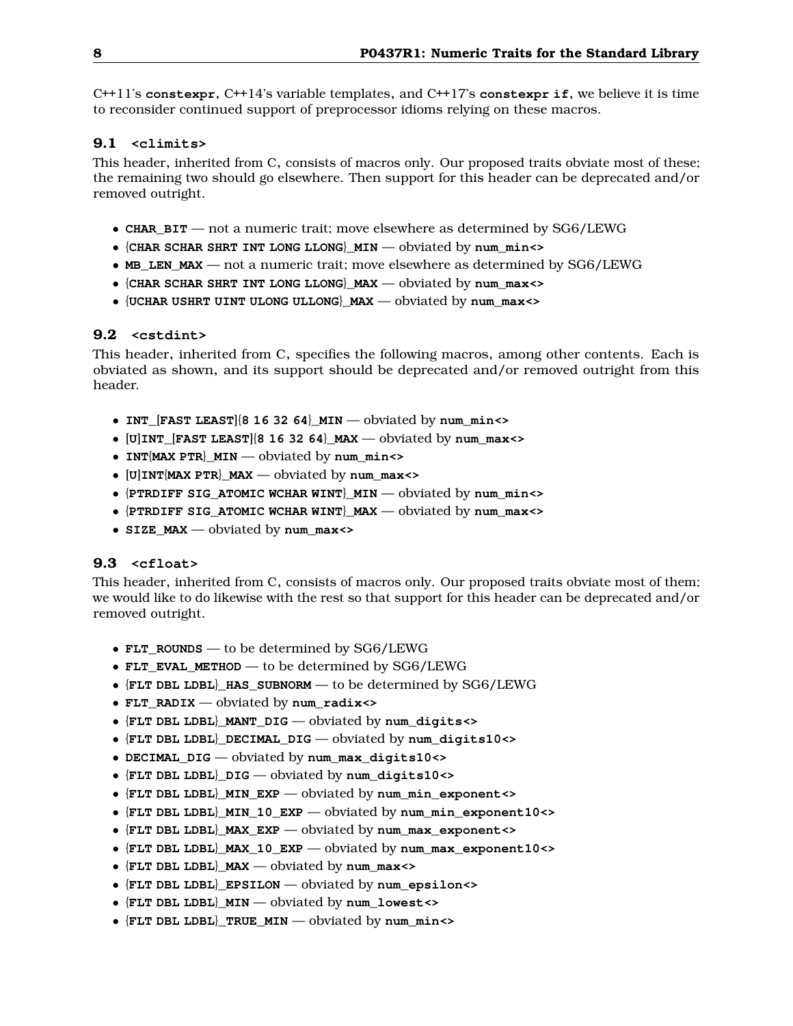C++11's **constexpr**, C++14's variable templates, and C++17's **constexpr if**, we believe it is time to reconsider continued support of preprocessor idioms relying on these macros.

## **9.1 <climits>**

This header, inherited from C, consists of macros only. Our proposed traits obviate most of these; the remaining two should go elsewhere. Then support for this header can be deprecated and/or removed outright.

- **CHAR\_BIT** not a numeric trait; move elsewhere as determined by SG6/LEWG
- {**CHAR SCHAR SHRT INT LONG LLONG**}**\_MIN** obviated by **num\_min<>**
- MB LEN MAX not a numeric trait; move elsewhere as determined by SG6/LEWG
- {**CHAR SCHAR SHRT INT LONG LLONG**}**\_MAX** obviated by **num\_max<>**
- {**UCHAR USHRT UINT ULONG ULLONG**}**\_MAX** obviated by **num\_max<>**

# **9.2 <cstdint>**

This header, inherited from C, specifies the following macros, among other contents. Each is obviated as shown, and its support should be deprecated and/or removed outright from this header.

- **INT\_**[**FAST LEAST**]{**8 16 32 64**}**\_MIN** obviated by **num\_min<>**
- [**U**]**INT\_**[**FAST LEAST**]{**8 16 32 64**}**\_MAX** obviated by **num\_max<>**
- **INT**{**MAX PTR**}**\_MIN** obviated by **num\_min<>**
- [**U**]**INT**{**MAX PTR**}**\_MAX** obviated by **num\_max<>**
- {**PTRDIFF SIG\_ATOMIC WCHAR WINT**}**\_MIN** obviated by **num\_min<>**
- {**PTRDIFF SIG\_ATOMIC WCHAR WINT**}**\_MAX** obviated by **num\_max<>**
- **SIZE\_MAX** obviated by **num\_max<>**

# **9.3 <cfloat>**

This header, inherited from C, consists of macros only. Our proposed traits obviate most of them; we would like to do likewise with the rest so that support for this header can be deprecated and/or removed outright.

- **FLT\_ROUNDS** to be determined by SG6/LEWG
- **FLT\_EVAL\_METHOD** to be determined by SG6/LEWG
- {**FLT DBL LDBL**}**\_HAS\_SUBNORM** to be determined by SG6/LEWG
- **FLT\_RADIX** obviated by **num\_radix<>**
- {**FLT DBL LDBL**}**\_MANT\_DIG** obviated by **num\_digits<>**
- {**FLT DBL LDBL**}**\_DECIMAL\_DIG** obviated by **num\_digits10<>**
- **DECIMAL\_DIG** obviated by **num\_max\_digits10<>**
- {**FLT DBL LDBL**}**\_DIG** obviated by **num\_digits10<>**
- {**FLT DBL LDBL**}**\_MIN\_EXP** obviated by **num\_min\_exponent<>**
- {**FLT DBL LDBL**}**\_MIN\_10\_EXP** obviated by **num\_min\_exponent10<>**
- {**FLT DBL LDBL**}**\_MAX\_EXP** obviated by **num\_max\_exponent<>**
- {**FLT DBL LDBL**}**\_MAX\_10\_EXP** obviated by **num\_max\_exponent10<>**
- {**FLT DBL LDBL**}**\_MAX** obviated by **num\_max<>**
- {**FLT DBL LDBL**}**\_EPSILON** obviated by **num\_epsilon<>**
- {**FLT DBL LDBL**}**\_MIN** obviated by **num\_lowest<>**
- {**FLT DBL LDBL**}**\_TRUE\_MIN** obviated by **num\_min<>**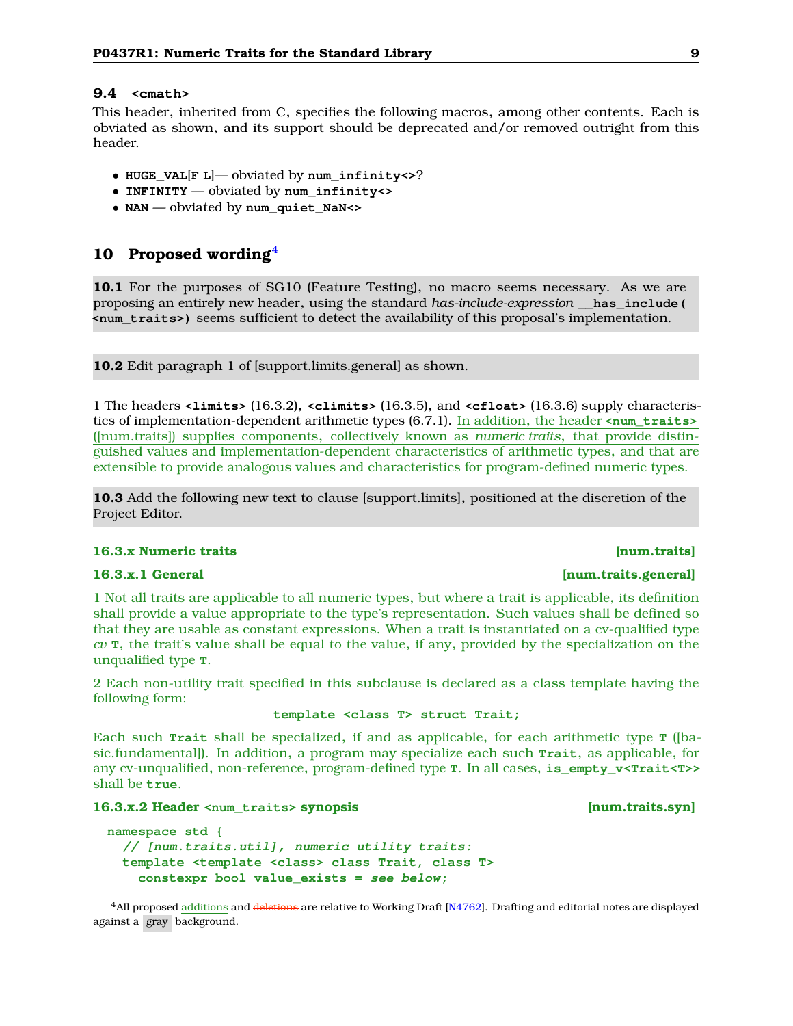## **9.4 <cmath>**

This header, inherited from C, specifies the following macros, among other contents. Each is obviated as shown, and its support should be deprecated and/or removed outright from this header.

- **HUGE\_VAL**[**F L**]— obviated by **num\_infinity<>**?
- **INFINITY** obviated by **num\_infinity<>**
- **NAN** obviated by **num\_quiet\_NaN<>**

# <span id="page-8-0"></span>**10 Proposed wording**[4](#page-8-1)

**10.1** For the purposes of SG10 (Feature Testing), no macro seems necessary. As we are proposing an entirely new header, using the standard *has-include-expression* **\_\_has\_include( <num\_traits>)** seems sufficient to detect the availability of this proposal's implementation.

**10.2** Edit paragraph 1 of [support.limits.general] as shown.

1 The headers **<limits>** (16.3.2), **<climits>** (16.3.5), and **<cfloat>** (16.3.6) supply characteristics of implementation-dependent arithmetic types (6.7.1). In addition, the header **<num\_traits>** ([num.traits]) supplies components, collectively known as *numeric traits*, that provide distinguished values and implementation-dependent characteristics of arithmetic types, and that are extensible to provide analogous values and characteristics for program-defined numeric types.

**10.3** Add the following new text to clause [support.limits], positioned at the discretion of the Project Editor.

#### **16.3.x Numeric traits [num.traits]**

1 Not all traits are applicable to all numeric types, but where a trait is applicable, its definition shall provide a value appropriate to the type's representation. Such values shall be defined so that they are usable as constant expressions. When a trait is instantiated on a cv-qualified type *cv* **T**, the trait's value shall be equal to the value, if any, provided by the specialization on the unqualified type **T**.

2 Each non-utility trait specified in this subclause is declared as a class template having the following form:

## **template <class T> struct Trait;**

Each such **Trait** shall be specialized, if and as applicable, for each arithmetic type **T** ([basic.fundamental]). In addition, a program may specialize each such **Trait**, as applicable, for any cv-unqualified, non-reference, program-defined type **T**. In all cases, **is\_empty\_v<Trait<T>>** shall be **true**.

### **16.3.x.2 Header <num\_traits> synopsis [num.traits.syn]**

```
namespace std {
  // [num.traits.util], numeric utility traits:
  template <template <class> class Trait, class T>
    constexpr bool value_exists = see below;
```
# **16.3.x.1 General [num.traits.general]**

<span id="page-8-1"></span><sup>&</sup>lt;sup>4</sup>All proposed additions and deletions are relative to Working Draft [\[N4762\]](#page-11-3). Drafting and editorial notes are displayed against a gray background.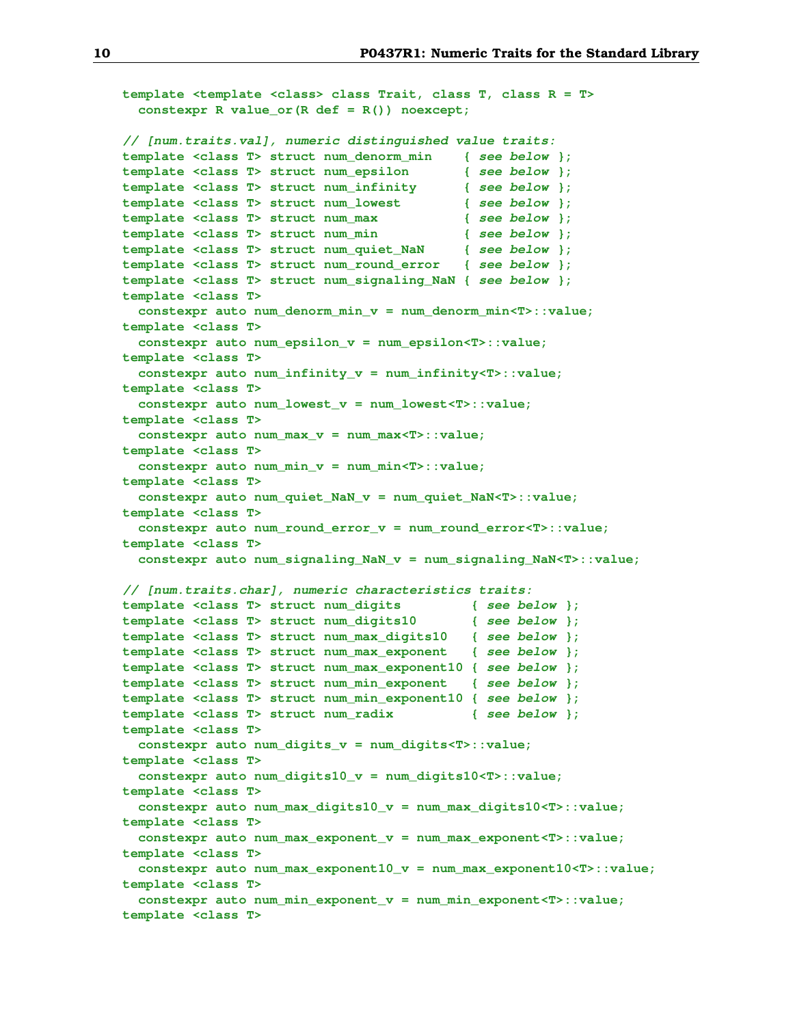```
template <template <class> class Trait, class T, class R = T>
  constexpr R value_or(R def = R()) noexcept;
// [num.traits.val], numeric distinguished value traits:
template <class T> struct num_denorm_min { see below };
template <class T> struct num_epsilon { see below };
template <class T> struct num_infinity { see below };
template <class T> struct num_lowest { see below };
template <class T> struct num_max { see below };
template <class T> struct num_min { see below };
template <class T> struct num_quiet_NaN { see below };
template <class T> struct num_round_error { see below };
template <class T> struct num_signaling_NaN { see below };
template <class T>
  constexpr auto num_denorm_min_v = num_denorm_min<T>::value;
template <class T>
  constexpr auto num_epsilon_v = num_epsilon<T>::value;
template <class T>
  constexpr auto num_infinity_v = num_infinity<T>::value;
template <class T>
  constexpr auto num_lowest_v = num_lowest<T>::value;
template <class T>
  constexpr auto num_max_v = num_max<T>::value;
template <class T>
  constexpr auto num_min_v = num_min<T>::value;
template <class T>
  constexpr auto num_quiet_NaN_v = num_quiet_NaN<T>::value;
template <class T>
  constexpr auto num_round_error_v = num_round_error<T>::value;
template <class T>
  constexpr auto num_signaling_NaN_v = num_signaling_NaN<T>::value;
// [num.traits.char], numeric characteristics traits:
template <class T> struct num_digits { see below };
template <class T> struct num_digits10 { see below };
template <class T> struct num_max_digits10 { see below };
template <class T> struct num_max_exponent { see below };
template <class T> struct num_max_exponent10 { see below };
template <class T> struct num_min_exponent { see below };
template <class T> struct num_min_exponent10 { see below };
template <class T> struct num_radix { see below };
template <class T>
  constexpr auto num_digits_v = num_digits<T>::value;
template <class T>
  constexpr auto num_digits10_v = num_digits10<T>::value;
template <class T>
  constexpr auto num_max_digits10_v = num_max_digits10<T>::value;
template <class T>
  constexpr auto num_max_exponent_v = num_max_exponent<T>::value;
template <class T>
  constexpr auto num_max_exponent10_v = num_max_exponent10<T>::value;
template <class T>
  constexpr auto num_min_exponent_v = num_min_exponent<T>::value;
template <class T>
```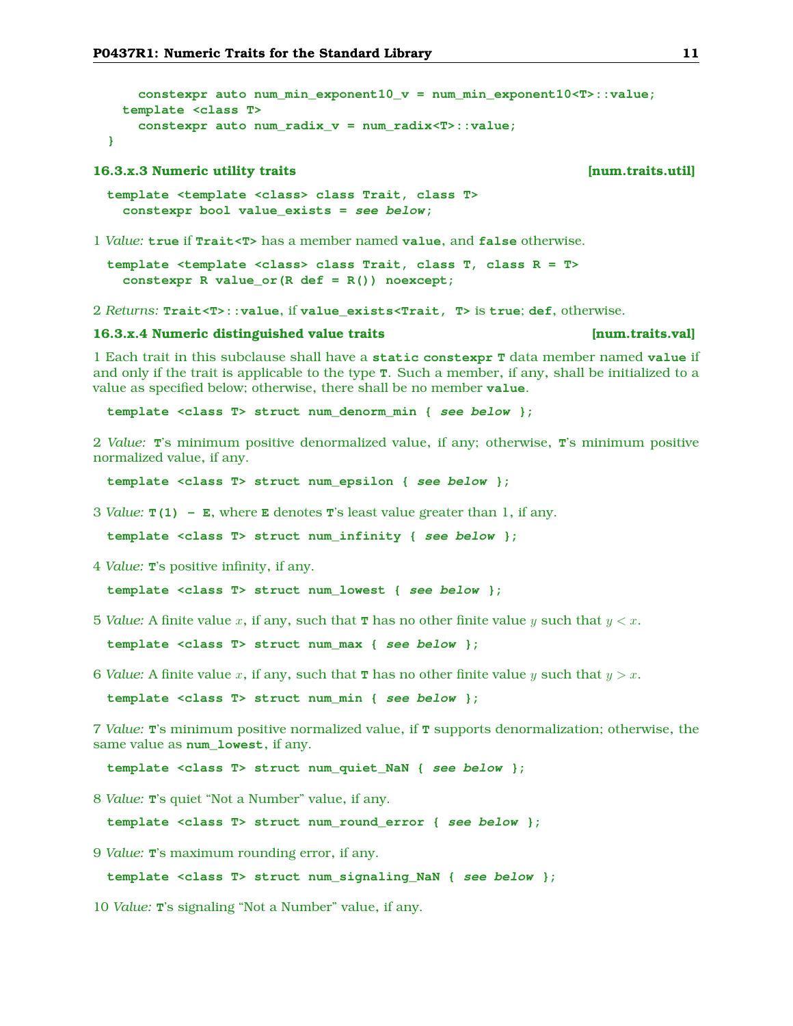```
constexpr auto num_min_exponent10_v = num_min_exponent10<T>::value;
 template <class T>
   constexpr auto num_radix_v = num_radix<T>::value;
}
```
### **16.3.x.3 Numeric utility traits [num.traits.util]**

```
template <template <class> class Trait, class T>
  constexpr bool value_exists = see below;
```
1 *Value:* **true** if **Trait<T>** has a member named **value**, and **false** otherwise.

**template <template <class> class Trait, class T, class R = T> constexpr R value\_or(R def = R()) noexcept;**

2 *Returns:* **Trait<T>::value**, if **value\_exists<Trait, T>** is **true**; **def**, otherwise.

#### **16.3.x.4 Numeric distinguished value traits [num.traits.val]**

1 Each trait in this subclause shall have a **static constexpr T** data member named **value** if and only if the trait is applicable to the type **T**. Such a member, if any, shall be initialized to a value as specified below; otherwise, there shall be no member **value**.

**template <class T> struct num\_denorm\_min { see below };**

2 *Value:* **T**'s minimum positive denormalized value, if any; otherwise, **T**'s minimum positive normalized value, if any.

**template <class T> struct num\_epsilon { see below };**

3 *Value:* **T(1) - E**, where **E** denotes **T**'s least value greater than 1, if any.

**template <class T> struct num\_infinity { see below };**

4 *Value:* **T**'s positive infinity, if any.

**template <class T> struct num\_lowest { see below };**

5 *Value:* A finite value x, if any, such that **T** has no other finite value y such that  $y < x$ .

**template <class T> struct num\_max { see below };**

6 *Value:* A finite value x, if any, such that **T** has no other finite value y such that  $y > x$ .

**template <class T> struct num\_min { see below };**

7 *Value:* **T**'s minimum positive normalized value, if **T** supports denormalization; otherwise, the same value as **num\_lowest**, if any.

**template <class T> struct num\_quiet\_NaN { see below };**

8 *Value:* **T**'s quiet "Not a Number" value, if any.

**template <class T> struct num\_round\_error { see below };**

9 *Value:* **T**'s maximum rounding error, if any.

**template <class T> struct num\_signaling\_NaN { see below };**

10 *Value:* **T**'s signaling "Not a Number" value, if any.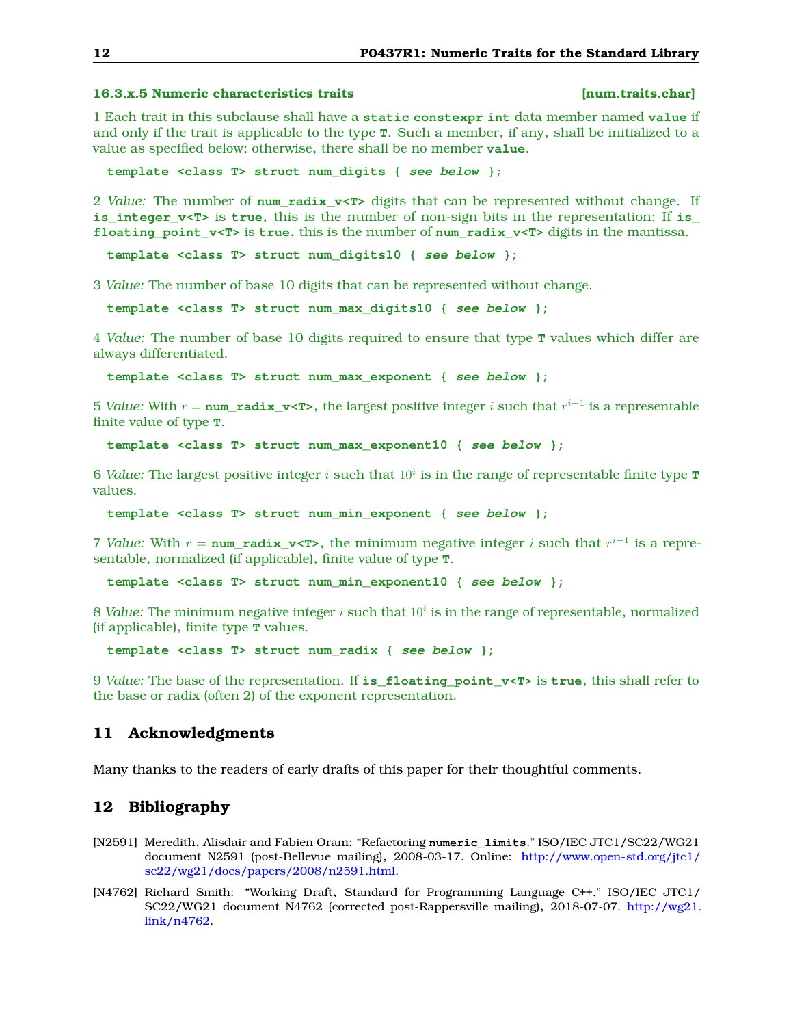## **16.3.x.5 Numeric characteristics traits [num.traits.char]**

1 Each trait in this subclause shall have a **static constexpr int** data member named **value** if and only if the trait is applicable to the type **T**. Such a member, if any, shall be initialized to a value as specified below; otherwise, there shall be no member **value**.

**template <class T> struct num\_digits { see below };**

2 *Value:* The number of **num\_radix\_v<T>** digits that can be represented without change. If **is\_integer\_v<T>** is **true**, this is the number of non-sign bits in the representation; If **is\_ floating\_point\_v<T>** is **true**, this is the number of **num\_radix\_v<T>** digits in the mantissa.

**template <class T> struct num\_digits10 { see below };**

3 *Value:* The number of base 10 digits that can be represented without change.

**template <class T> struct num\_max\_digits10 { see below };**

4 *Value:* The number of base 10 digits required to ensure that type **T** values which differ are always differentiated.

**template <class T> struct num\_max\_exponent { see below };**

5 *Value:* With  $r = \texttt{num\_radix\_v},$  the largest positive integer  $i$  such that  $r^{i-1}$  is a representable finite value of type **T**.

**template <class T> struct num\_max\_exponent10 { see below };**

 $6$  *Value:* The largest positive integer  $i$  such that  $10^i$  is in the range of representable finite type  $\mathbf T$ values.

**template <class T> struct num\_min\_exponent { see below };**

7 *Value*: With  $r = \text{num\_radix\_v&ltT>}$ , the minimum negative integer i such that  $r^{i-1}$  is a representable, normalized (if applicable), finite value of type **T**.

**template <class T> struct num\_min\_exponent10 { see below };**

 $8$  *Value:* The minimum negative integer  $i$  such that  $10^i$  is in the range of representable, normalized (if applicable), finite type **T** values.

**template <class T> struct num\_radix { see below };**

9 *Value:* The base of the representation. If **is\_floating\_point\_v<T>** is **true**, this shall refer to the base or radix (often 2) of the exponent representation.

## <span id="page-11-0"></span>**11 Acknowledgments**

<span id="page-11-1"></span>Many thanks to the readers of early drafts of this paper for their thoughtful comments.

# **12 Bibliography**

- <span id="page-11-2"></span>[N2591] Meredith, Alisdair and Fabien Oram: "Refactoring **numeric\_limits**." ISO/IEC JTC1/SC22/WG21 document N2591 (post-Bellevue mailing), 2008-03-17. Online: [http://www.open-std.org/jtc1/](http://www.open-std.org/jtc1/sc22/wg21/docs/papers/2008/n2591.html) [sc22/wg21/docs/papers/2008/n2591.html.](http://www.open-std.org/jtc1/sc22/wg21/docs/papers/2008/n2591.html)
- <span id="page-11-3"></span>[N4762] Richard Smith: "Working Draft, Standard for Programming Language C++." ISO/IEC JTC1/ SC22/WG21 document N4762 (corrected post-Rappersville mailing), 2018-07-07. [http://wg21.](http://wg21.link/n4762) [link/n4762.](http://wg21.link/n4762)